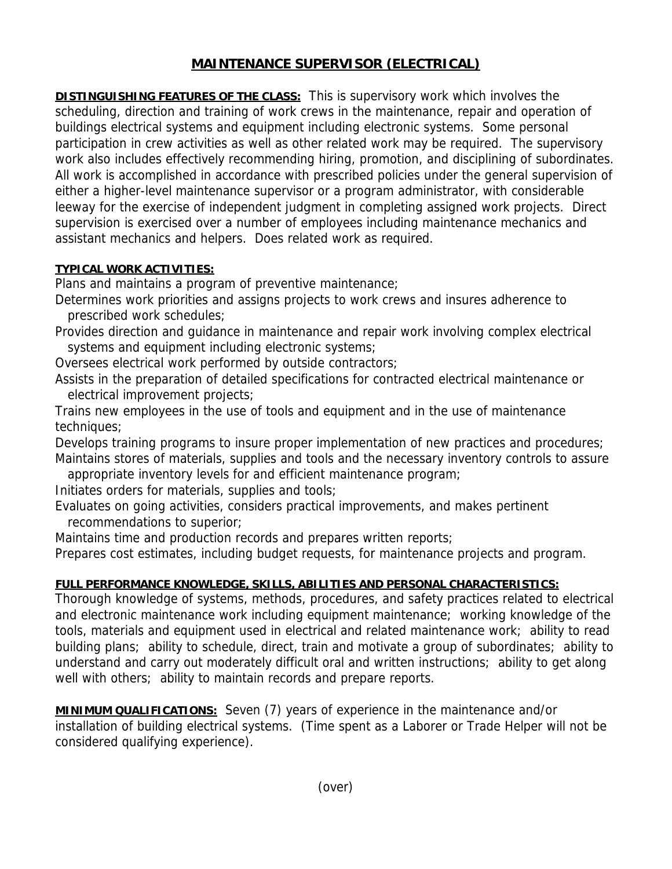## **MAINTENANCE SUPERVISOR (ELECTRICAL)**

**DISTINGUISHING FEATURES OF THE CLASS:** This is supervisory work which involves the scheduling, direction and training of work crews in the maintenance, repair and operation of buildings electrical systems and equipment including electronic systems. Some personal participation in crew activities as well as other related work may be required. The supervisory work also includes effectively recommending hiring, promotion, and disciplining of subordinates. All work is accomplished in accordance with prescribed policies under the general supervision of either a higher-level maintenance supervisor or a program administrator, with considerable leeway for the exercise of independent judgment in completing assigned work projects. Direct supervision is exercised over a number of employees including maintenance mechanics and assistant mechanics and helpers. Does related work as required.

## **TYPICAL WORK ACTIVITIES:**

Plans and maintains a program of preventive maintenance;

Determines work priorities and assigns projects to work crews and insures adherence to prescribed work schedules;

Provides direction and guidance in maintenance and repair work involving complex electrical systems and equipment including electronic systems;

Oversees electrical work performed by outside contractors;

Assists in the preparation of detailed specifications for contracted electrical maintenance or electrical improvement projects;

Trains new employees in the use of tools and equipment and in the use of maintenance techniques;

Develops training programs to insure proper implementation of new practices and procedures; Maintains stores of materials, supplies and tools and the necessary inventory controls to assure

appropriate inventory levels for and efficient maintenance program;

Initiates orders for materials, supplies and tools;

Evaluates on going activities, considers practical improvements, and makes pertinent recommendations to superior;

Maintains time and production records and prepares written reports;

Prepares cost estimates, including budget requests, for maintenance projects and program.

## **FULL PERFORMANCE KNOWLEDGE, SKILLS, ABILITIES AND PERSONAL CHARACTERISTICS:**

Thorough knowledge of systems, methods, procedures, and safety practices related to electrical and electronic maintenance work including equipment maintenance; working knowledge of the tools, materials and equipment used in electrical and related maintenance work; ability to read building plans; ability to schedule, direct, train and motivate a group of subordinates; ability to understand and carry out moderately difficult oral and written instructions; ability to get along well with others; ability to maintain records and prepare reports.

**MINIMUM QUALIFICATIONS:** Seven (7) years of experience in the maintenance and/or installation of building electrical systems. (Time spent as a Laborer or Trade Helper will not be considered qualifying experience).